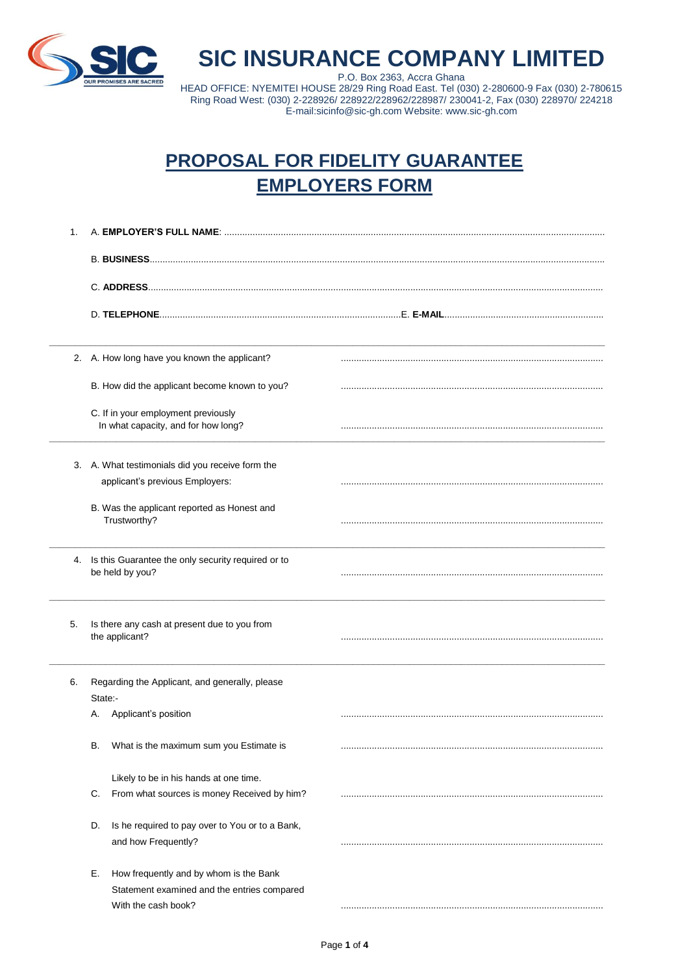

 $\overline{\phantom{a}}$ 

## **SIC INSURANCE COMPANY LIMITED**

P.O. Box 2363, Accra Ghana HEAD OFFICE: NYEMITEI HOUSE 28/29 Ring Road East. Tel (030) 2-280600-9 Fax (030) 2-780615 Ring Road West: (030) 2-228926/ 228922/228962/228987/ 230041-2, Fax (030) 228970/ 224218 E-mail:sicinfo@sic-gh.com Website: www.sic-gh.com

## **PROPOSAL FOR FIDELITY GUARANTEE EMPLOYERS FORM**

| 1. |                                                                            |  |
|----|----------------------------------------------------------------------------|--|
|    |                                                                            |  |
|    |                                                                            |  |
|    |                                                                            |  |
|    |                                                                            |  |
|    |                                                                            |  |
|    |                                                                            |  |
|    |                                                                            |  |
|    | 2. A. How long have you known the applicant?                               |  |
|    |                                                                            |  |
|    | B. How did the applicant become known to you?                              |  |
|    |                                                                            |  |
|    | C. If in your employment previously<br>In what capacity, and for how long? |  |
|    |                                                                            |  |
|    |                                                                            |  |
|    | 3. A. What testimonials did you receive form the                           |  |
|    | applicant's previous Employers:                                            |  |
|    | B. Was the applicant reported as Honest and                                |  |
|    | Trustworthy?                                                               |  |
|    |                                                                            |  |
|    |                                                                            |  |
|    | 4. Is this Guarantee the only security required or to<br>be held by you?   |  |
|    |                                                                            |  |
|    |                                                                            |  |
| 5. | Is there any cash at present due to you from                               |  |
|    | the applicant?                                                             |  |
|    |                                                                            |  |
|    |                                                                            |  |
| 6. | Regarding the Applicant, and generally, please                             |  |
|    | State:-                                                                    |  |
|    | Applicant's position<br>А.                                                 |  |
|    |                                                                            |  |
|    | What is the maximum sum you Estimate is<br>В.                              |  |
|    |                                                                            |  |
|    | Likely to be in his hands at one time.                                     |  |
|    | C.<br>From what sources is money Received by him?                          |  |
|    |                                                                            |  |
|    | Is he required to pay over to You or to a Bank,<br>D.                      |  |
|    | and how Frequently?                                                        |  |
|    |                                                                            |  |
|    | How frequently and by whom is the Bank<br>Е.                               |  |
|    | Statement examined and the entries compared                                |  |
|    | With the cash book?                                                        |  |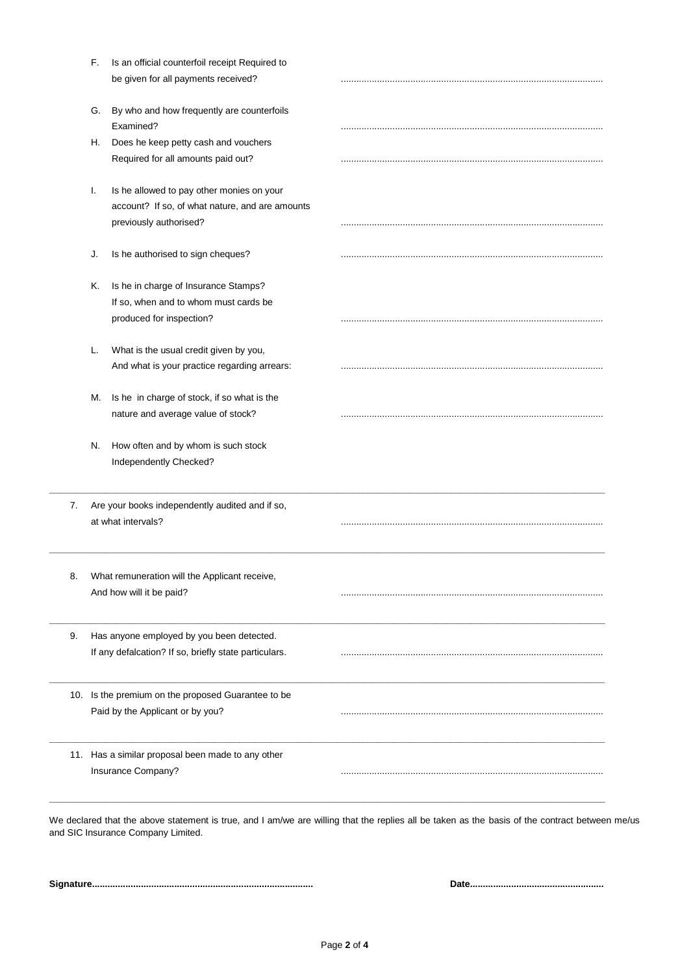|    | F.                                                                        | Is an official counterfoil receipt Required to                        |  |
|----|---------------------------------------------------------------------------|-----------------------------------------------------------------------|--|
|    |                                                                           | be given for all payments received?                                   |  |
|    | G.                                                                        | By who and how frequently are counterfoils                            |  |
|    |                                                                           | Examined?                                                             |  |
|    | Н.                                                                        | Does he keep petty cash and vouchers                                  |  |
|    |                                                                           | Required for all amounts paid out?                                    |  |
|    | Τ.                                                                        | Is he allowed to pay other monies on your                             |  |
|    |                                                                           | account? If so, of what nature, and are amounts                       |  |
|    |                                                                           | previously authorised?                                                |  |
|    | J.                                                                        | Is he authorised to sign cheques?                                     |  |
|    | K.                                                                        | Is he in charge of Insurance Stamps?                                  |  |
|    |                                                                           | If so, when and to whom must cards be                                 |  |
|    |                                                                           | produced for inspection?                                              |  |
|    | L.                                                                        | What is the usual credit given by you,                                |  |
|    |                                                                           | And what is your practice regarding arrears:                          |  |
|    | M.                                                                        | Is he in charge of stock, if so what is the                           |  |
|    |                                                                           | nature and average value of stock?                                    |  |
|    | N.                                                                        | How often and by whom is such stock<br>Independently Checked?         |  |
| 7. |                                                                           | Are your books independently audited and if so,<br>at what intervals? |  |
|    |                                                                           |                                                                       |  |
| 8. | What remuneration will the Applicant receive,<br>And how will it be paid? |                                                                       |  |
| 9. |                                                                           | Has anyone employed by you been detected.                             |  |
|    |                                                                           | If any defalcation? If so, briefly state particulars.                 |  |
|    |                                                                           | 10. Is the premium on the proposed Guarantee to be                    |  |
|    |                                                                           | Paid by the Applicant or by you?                                      |  |
|    |                                                                           | 11. Has a similar proposal been made to any other                     |  |
|    |                                                                           |                                                                       |  |

and SIC Insurance Company Limited.

**Signature...................................................................................... Date....................................................**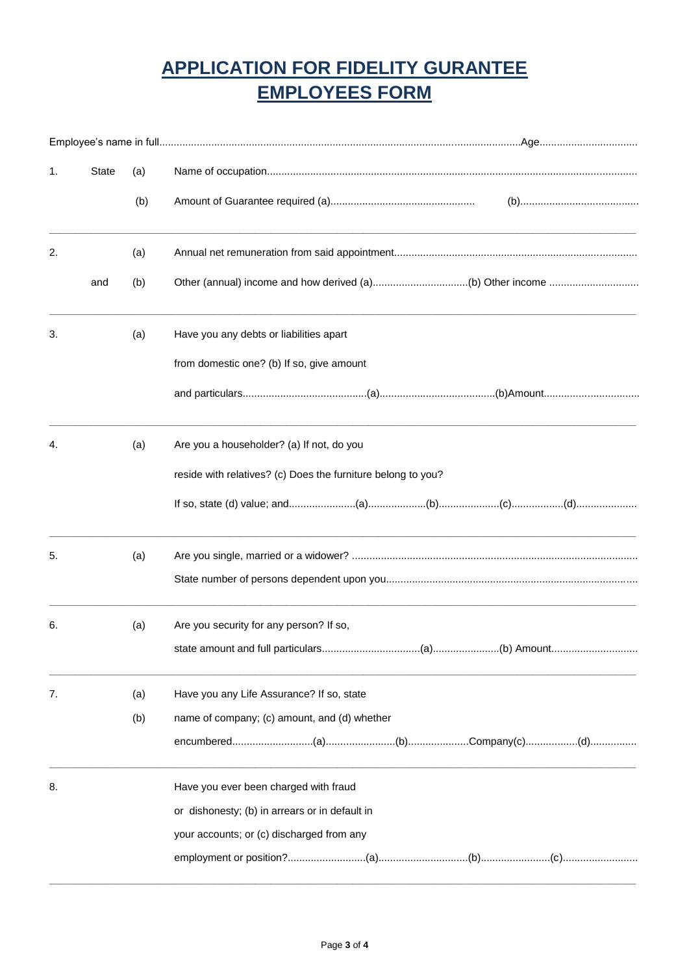## **APPLICATION FOR FIDELITY GURANTEE EMPLOYEES FORM**

| 1. | <b>State</b> | (a) |                                                              |
|----|--------------|-----|--------------------------------------------------------------|
|    |              | (b) |                                                              |
| 2. |              | (a) |                                                              |
|    | and          | (b) |                                                              |
| 3. |              | (a) | Have you any debts or liabilities apart                      |
|    |              |     | from domestic one? (b) If so, give amount                    |
|    |              |     |                                                              |
| 4. |              | (a) | Are you a householder? (a) If not, do you                    |
|    |              |     | reside with relatives? (c) Does the furniture belong to you? |
|    |              |     |                                                              |
| 5. |              | (a) |                                                              |
|    |              |     |                                                              |
| 6. |              | (a) | Are you security for any person? If so,                      |
|    |              |     |                                                              |
| 7. |              | (a) | Have you any Life Assurance? If so, state                    |
|    |              | (b) | name of company; (c) amount, and (d) whether                 |
|    |              |     |                                                              |
| 8. |              |     | Have you ever been charged with fraud                        |
|    |              |     | or dishonesty; (b) in arrears or in default in               |
|    |              |     | your accounts; or (c) discharged from any                    |
|    |              |     |                                                              |